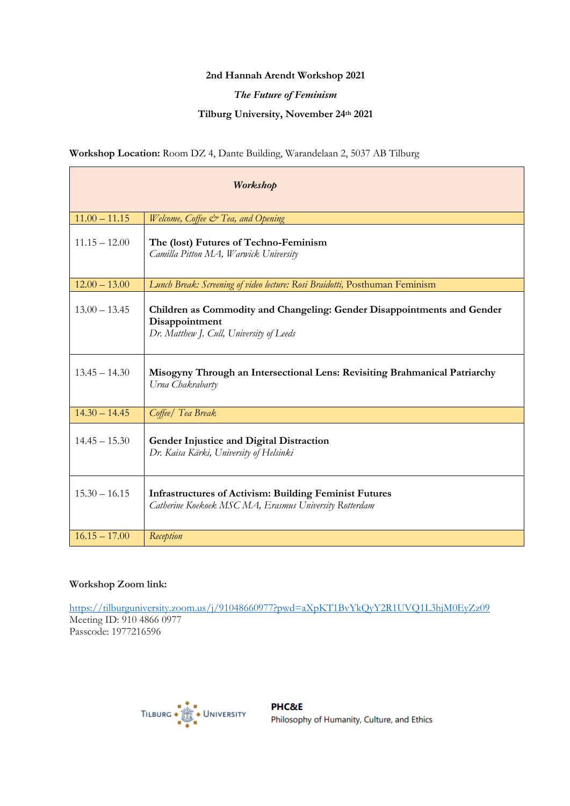# **2nd Hannah Arendt Workshop 2021**

# *The Future of Feminism*

# **Tilburg University, November 24th 2021**

# **Workshop Location:** Room DZ 4, Dante Building, Warandelaan 2, 5037 AB Tilburg

| Workshop        |                                                                                                                                       |
|-----------------|---------------------------------------------------------------------------------------------------------------------------------------|
| $11.00 - 11.15$ | Welcome, Coffee & Tea, and Opening                                                                                                    |
| $11.15 - 12.00$ | The (lost) Futures of Techno-Feminism<br>Camilla Pitton MA, Warwick University                                                        |
| $12.00 - 13.00$ | Lunch Break: Screening of video lecture: Rosi Braidotti, Posthuman Feminism                                                           |
| $13.00 - 13.45$ | Children as Commodity and Changeling: Gender Disappointments and Gender<br>Disappointment<br>Dr. Matthew J. Cull, University of Leeds |
| $13.45 - 14.30$ | Misogyny Through an Intersectional Lens: Revisiting Brahmanical Patriarchy<br>Urna Chakrabarty                                        |
| $14.30 - 14.45$ | Coffee/ Tea Break                                                                                                                     |
| $14.45 - 15.30$ | Gender Injustice and Digital Distraction<br>Dr. Kaisa Kärki, University of Helsinki                                                   |
| $15.30 - 16.15$ | <b>Infrastructures of Activism: Building Feminist Futures</b><br>Catherine Koekoek MSC MA, Erasmus University Rotterdam               |
| $16.15 - 17.00$ | Reception                                                                                                                             |

### **Workshop Zoom link:**

https://tilburguniversity.zoom.us/j/91048660977?pwd=aXpKT1BvYkQyY2R1UVQ1L3hjM0EyZz09 Meeting ID: 910 4866 0977 Passcode: 1977216596

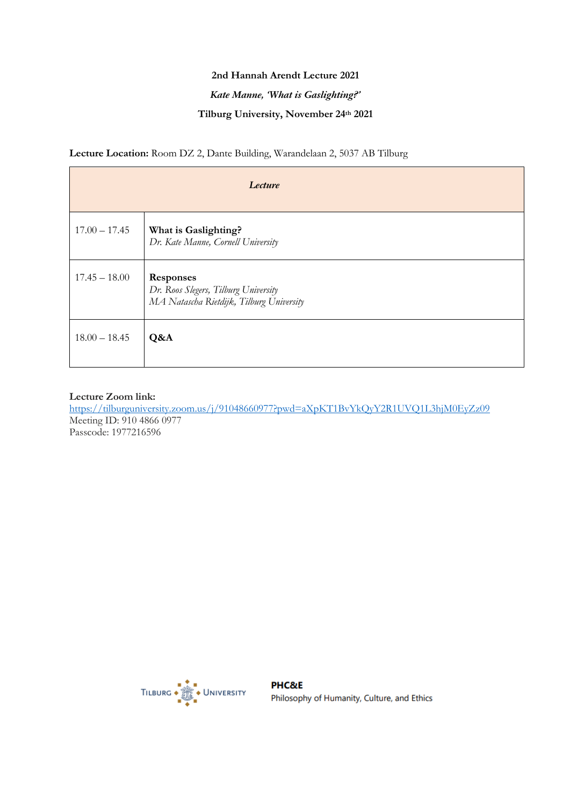# **2nd Hannah Arendt Lecture 2021**

# *Kate Manne, 'What is Gaslighting?'*

# **Tilburg University, November 24th 2021**

**Lecture Location:** Room DZ 2, Dante Building, Warandelaan 2, 5037 AB Tilburg

| Lecture         |                                                                                                      |
|-----------------|------------------------------------------------------------------------------------------------------|
| $17.00 - 17.45$ | What is Gaslighting?<br>Dr. Kate Manne, Cornell University                                           |
| $17.45 - 18.00$ | <b>Responses</b><br>Dr. Roos Slegers, Tilburg University<br>MA Natascha Rietdijk, Tilburg University |
| $18.00 - 18.45$ | Q&A                                                                                                  |

### **Lecture Zoom link:**

https://tilburguniversity.zoom.us/j/91048660977?pwd=aXpKT1BvYkQyY2R1UVQ1L3hjM0EyZz09 Meeting ID: 910 4866 0977 Passcode: 1977216596

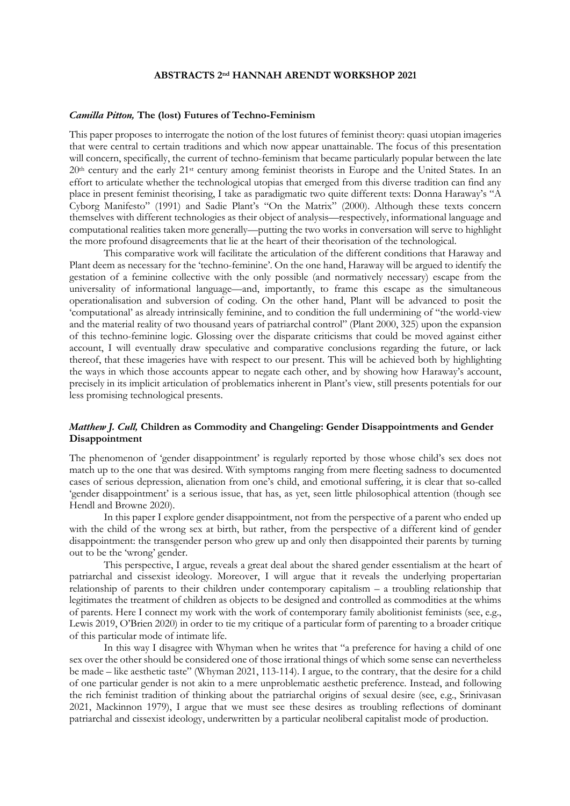#### **ABSTRACTS 2nd HANNAH ARENDT WORKSHOP 2021**

#### *Camilla Pitton,* **The (lost) Futures of Techno-Feminism**

This paper proposes to interrogate the notion of the lost futures of feminist theory: quasi utopian imageries that were central to certain traditions and which now appear unattainable. The focus of this presentation will concern, specifically, the current of techno-feminism that became particularly popular between the late 20th century and the early 21st century among feminist theorists in Europe and the United States. In an effort to articulate whether the technological utopias that emerged from this diverse tradition can find any place in present feminist theorising, I take as paradigmatic two quite different texts: Donna Haraway's "A Cyborg Manifesto" (1991) and Sadie Plant's "On the Matrix" (2000). Although these texts concern themselves with different technologies as their object of analysis—respectively, informational language and computational realities taken more generally—putting the two works in conversation will serve to highlight the more profound disagreements that lie at the heart of their theorisation of the technological.

This comparative work will facilitate the articulation of the different conditions that Haraway and Plant deem as necessary for the 'techno-feminine'. On the one hand, Haraway will be argued to identify the gestation of a feminine collective with the only possible (and normatively necessary) escape from the universality of informational language—and, importantly, to frame this escape as the simultaneous operationalisation and subversion of coding. On the other hand, Plant will be advanced to posit the 'computational' as already intrinsically feminine, and to condition the full undermining of "the world-view and the material reality of two thousand years of patriarchal control" (Plant 2000, 325) upon the expansion of this techno-feminine logic. Glossing over the disparate criticisms that could be moved against either account, I will eventually draw speculative and comparative conclusions regarding the future, or lack thereof, that these imageries have with respect to our present. This will be achieved both by highlighting the ways in which those accounts appear to negate each other, and by showing how Haraway's account, precisely in its implicit articulation of problematics inherent in Plant's view, still presents potentials for our less promising technological presents.

### *Matthew J. Cull,* **Children as Commodity and Changeling: Gender Disappointments and Gender Disappointment**

The phenomenon of 'gender disappointment' is regularly reported by those whose child's sex does not match up to the one that was desired. With symptoms ranging from mere fleeting sadness to documented cases of serious depression, alienation from one's child, and emotional suffering, it is clear that so-called 'gender disappointment' is a serious issue, that has, as yet, seen little philosophical attention (though see Hendl and Browne 2020).

In this paper I explore gender disappointment, not from the perspective of a parent who ended up with the child of the wrong sex at birth, but rather, from the perspective of a different kind of gender disappointment: the transgender person who grew up and only then disappointed their parents by turning out to be the 'wrong' gender.

This perspective, I argue, reveals a great deal about the shared gender essentialism at the heart of patriarchal and cissexist ideology. Moreover, I will argue that it reveals the underlying propertarian relationship of parents to their children under contemporary capitalism – a troubling relationship that legitimates the treatment of children as objects to be designed and controlled as commodities at the whims of parents. Here I connect my work with the work of contemporary family abolitionist feminists (see, e.g., Lewis 2019, O'Brien 2020) in order to tie my critique of a particular form of parenting to a broader critique of this particular mode of intimate life.

In this way I disagree with Whyman when he writes that "a preference for having a child of one sex over the other should be considered one of those irrational things of which some sense can nevertheless be made – like aesthetic taste" (Whyman 2021, 113-114). I argue, to the contrary, that the desire for a child of one particular gender is not akin to a mere unproblematic aesthetic preference. Instead, and following the rich feminist tradition of thinking about the patriarchal origins of sexual desire (see, e.g., Srinivasan 2021, Mackinnon 1979), I argue that we must see these desires as troubling reflections of dominant patriarchal and cissexist ideology, underwritten by a particular neoliberal capitalist mode of production.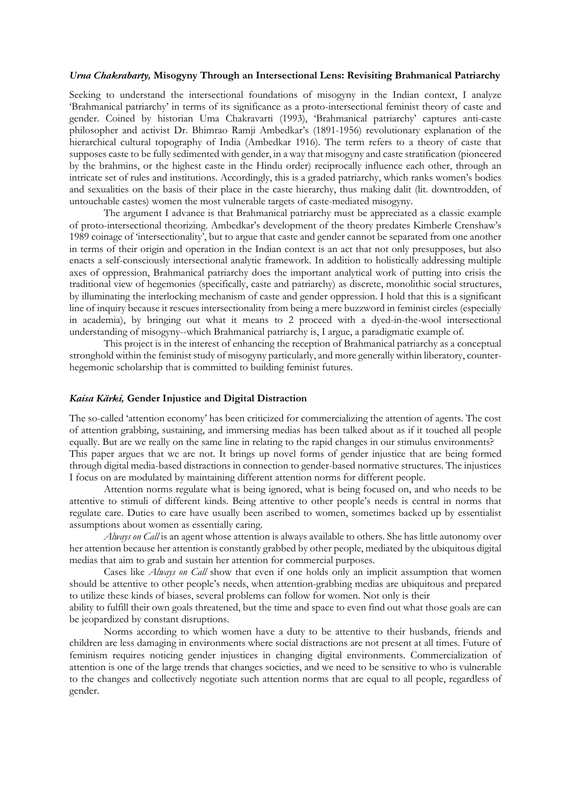#### *Urna Chakrabarty,* **Misogyny Through an Intersectional Lens: Revisiting Brahmanical Patriarchy**

Seeking to understand the intersectional foundations of misogyny in the Indian context, I analyze 'Brahmanical patriarchy' in terms of its significance as a proto-intersectional feminist theory of caste and gender. Coined by historian Uma Chakravarti (1993), 'Brahmanical patriarchy' captures anti-caste philosopher and activist Dr. Bhimrao Ramji Ambedkar's (1891-1956) revolutionary explanation of the hierarchical cultural topography of India (Ambedkar 1916). The term refers to a theory of caste that supposes caste to be fully sedimented with gender, in a way that misogyny and caste stratification (pioneered by the brahmins, or the highest caste in the Hindu order) reciprocally influence each other, through an intricate set of rules and institutions. Accordingly, this is a graded patriarchy, which ranks women's bodies and sexualities on the basis of their place in the caste hierarchy, thus making dalit (lit. downtrodden, of untouchable castes) women the most vulnerable targets of caste-mediated misogyny.

The argument I advance is that Brahmanical patriarchy must be appreciated as a classic example of proto-intersectional theorizing. Ambedkar's development of the theory predates Kimberle Crenshaw's 1989 coinage of 'intersectionality', but to argue that caste and gender cannot be separated from one another in terms of their origin and operation in the Indian context is an act that not only presupposes, but also enacts a self-consciously intersectional analytic framework. In addition to holistically addressing multiple axes of oppression, Brahmanical patriarchy does the important analytical work of putting into crisis the traditional view of hegemonies (specifically, caste and patriarchy) as discrete, monolithic social structures, by illuminating the interlocking mechanism of caste and gender oppression. I hold that this is a significant line of inquiry because it rescues intersectionality from being a mere buzzword in feminist circles (especially in academia), by bringing out what it means to 2 proceed with a dyed-in-the-wool intersectional understanding of misogyny--which Brahmanical patriarchy is, I argue, a paradigmatic example of.

This project is in the interest of enhancing the reception of Brahmanical patriarchy as a conceptual stronghold within the feminist study of misogyny particularly, and more generally within liberatory, counterhegemonic scholarship that is committed to building feminist futures.

### *Kaisa Kärki,* **Gender Injustice and Digital Distraction**

The so-called 'attention economy' has been criticized for commercializing the attention of agents. The cost of attention grabbing, sustaining, and immersing medias has been talked about as if it touched all people equally. But are we really on the same line in relating to the rapid changes in our stimulus environments? This paper argues that we are not. It brings up novel forms of gender injustice that are being formed through digital media-based distractions in connection to gender-based normative structures. The injustices I focus on are modulated by maintaining different attention norms for different people.

Attention norms regulate what is being ignored, what is being focused on, and who needs to be attentive to stimuli of different kinds. Being attentive to other people's needs is central in norms that regulate care. Duties to care have usually been ascribed to women, sometimes backed up by essentialist assumptions about women as essentially caring.

*Always on Call* is an agent whose attention is always available to others. She has little autonomy over her attention because her attention is constantly grabbed by other people, mediated by the ubiquitous digital medias that aim to grab and sustain her attention for commercial purposes.

Cases like *Always on Call* show that even if one holds only an implicit assumption that women should be attentive to other people's needs, when attention-grabbing medias are ubiquitous and prepared to utilize these kinds of biases, several problems can follow for women. Not only is their

ability to fulfill their own goals threatened, but the time and space to even find out what those goals are can be jeopardized by constant disruptions.

Norms according to which women have a duty to be attentive to their husbands, friends and children are less damaging in environments where social distractions are not present at all times. Future of feminism requires noticing gender injustices in changing digital environments. Commercialization of attention is one of the large trends that changes societies, and we need to be sensitive to who is vulnerable to the changes and collectively negotiate such attention norms that are equal to all people, regardless of gender.